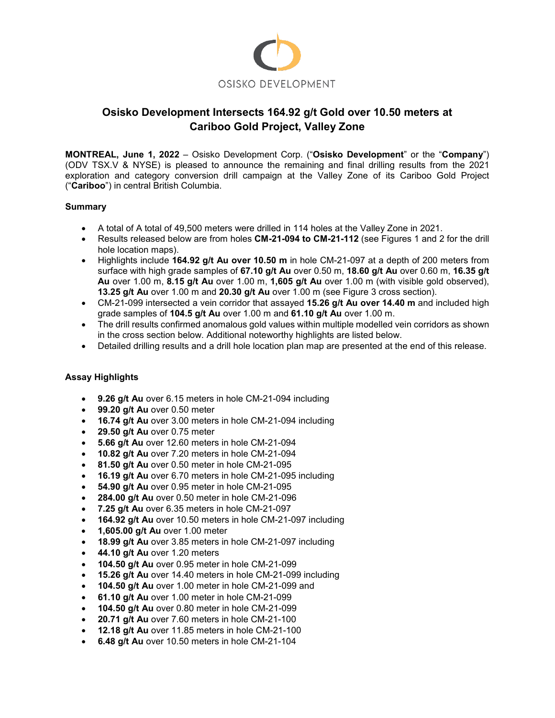

# **Osisko Development Intersects 164.92 g/t Gold over 10.50 meters at Cariboo Gold Project, Valley Zone**

**MONTREAL, June 1, 2022** – Osisko Development Corp. ("**Osisko Development**" or the "**Company**") (ODV TSX.V & NYSE) is pleased to announce the remaining and final drilling results from the 2021 exploration and category conversion drill campaign at the Valley Zone of its Cariboo Gold Project ("**Cariboo**") in central British Columbia.

## **Summary**

- A total of A total of 49,500 meters were drilled in 114 holes at the Valley Zone in 2021.
- Results released below are from holes **CM-21-094 to CM-21-112** (see Figures 1 and 2 for the drill hole location maps).
- Highlights include **164.92 g/t Au over 10.50 m** in hole CM-21-097 at a depth of 200 meters from surface with high grade samples of **67.10 g/t Au** over 0.50 m, **18.60 g/t Au** over 0.60 m, **16.35 g/t Au** over 1.00 m, **8.15 g/t Au** over 1.00 m, **1,605 g/t Au** over 1.00 m (with visible gold observed), **13.25 g/t Au** over 1.00 m and **20.30 g/t Au** over 1.00 m (see Figure 3 cross section).
- CM-21-099 intersected a vein corridor that assayed **15.26 g/t Au over 14.40 m** and included high grade samples of **104.5 g/t Au** over 1.00 m and **61.10 g/t Au** over 1.00 m.
- The drill results confirmed anomalous gold values within multiple modelled vein corridors as shown in the cross section below. Additional noteworthy highlights are listed below.
- Detailed drilling results and a drill hole location plan map are presented at the end of this release.

## **Assay Highlights**

- **9.26 g/t Au** over 6.15 meters in hole CM-21-094 including
- **99.20 g/t Au** over 0.50 meter
- **16.74 g/t Au** over 3.00 meters in hole CM-21-094 including
- **29.50 g/t Au** over 0.75 meter
- **5.66 g/t Au** over 12.60 meters in hole CM-21-094
- **10.82 g/t Au** over 7.20 meters in hole CM-21-094
- **81.50 g/t Au** over 0.50 meter in hole CM-21-095
- **16.19 g/t Au** over 6.70 meters in hole CM-21-095 including
- **54.90 g/t Au** over 0.95 meter in hole CM-21-095
- **284.00 g/t Au** over 0.50 meter in hole CM-21-096
- **7.25 g/t Au** over 6.35 meters in hole CM-21-097
- **164.92 g/t Au** over 10.50 meters in hole CM-21-097 including
- **1,605.00 g/t Au** over 1.00 meter
- **18.99 g/t Au** over 3.85 meters in hole CM-21-097 including
- **44.10 g/t Au** over 1.20 meters
- **104.50 g/t Au** over 0.95 meter in hole CM-21-099
- **15.26 g/t Au** over 14.40 meters in hole CM-21-099 including
- **104.50 g/t Au** over 1.00 meter in hole CM-21-099 and
- **61.10 g/t Au** over 1.00 meter in hole CM-21-099
- **104.50 g/t Au** over 0.80 meter in hole CM-21-099
- **20.71 g/t Au** over 7.60 meters in hole CM-21-100
- **12.18 g/t Au** over 11.85 meters in hole CM-21-100
- **6.48 g/t Au** over 10.50 meters in hole CM-21-104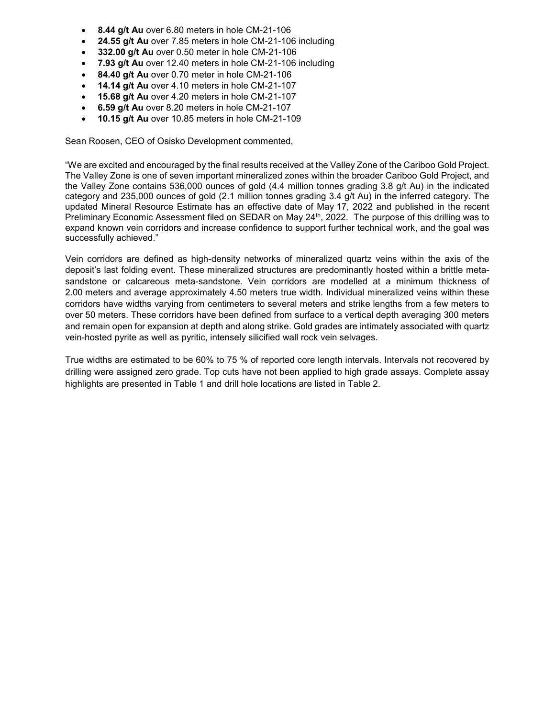- **8.44 g/t Au** over 6.80 meters in hole CM-21-106
- **24.55 g/t Au** over 7.85 meters in hole CM-21-106 including
- **332.00 g/t Au** over 0.50 meter in hole CM-21-106
- **7.93 g/t Au** over 12.40 meters in hole CM-21-106 including
- **84.40 g/t Au** over 0.70 meter in hole CM-21-106
- **14.14 g/t Au** over 4.10 meters in hole CM-21-107
- **15.68 g/t Au** over 4.20 meters in hole CM-21-107
- **6.59 g/t Au** over 8.20 meters in hole CM-21-107
- **10.15 g/t Au** over 10.85 meters in hole CM-21-109

Sean Roosen, CEO of Osisko Development commented,

"We are excited and encouraged by the final results received at the Valley Zone of the Cariboo Gold Project. The Valley Zone is one of seven important mineralized zones within the broader Cariboo Gold Project, and the Valley Zone contains 536,000 ounces of gold (4.4 million tonnes grading 3.8 g/t Au) in the indicated category and 235,000 ounces of gold (2.1 million tonnes grading 3.4 g/t Au) in the inferred category. The updated Mineral Resource Estimate has an effective date of May 17, 2022 and published in the recent Preliminary Economic Assessment filed on SEDAR on May 24<sup>th</sup>, 2022. The purpose of this drilling was to expand known vein corridors and increase confidence to support further technical work, and the goal was successfully achieved."

Vein corridors are defined as high-density networks of mineralized quartz veins within the axis of the deposit's last folding event. These mineralized structures are predominantly hosted within a brittle metasandstone or calcareous meta-sandstone. Vein corridors are modelled at a minimum thickness of 2.00 meters and average approximately 4.50 meters true width. Individual mineralized veins within these corridors have widths varying from centimeters to several meters and strike lengths from a few meters to over 50 meters. These corridors have been defined from surface to a vertical depth averaging 300 meters and remain open for expansion at depth and along strike. Gold grades are intimately associated with quartz vein-hosted pyrite as well as pyritic, intensely silicified wall rock vein selvages.

True widths are estimated to be 60% to 75 % of reported core length intervals. Intervals not recovered by drilling were assigned zero grade. Top cuts have not been applied to high grade assays. Complete assay highlights are presented in Table 1 and drill hole locations are listed in Table 2.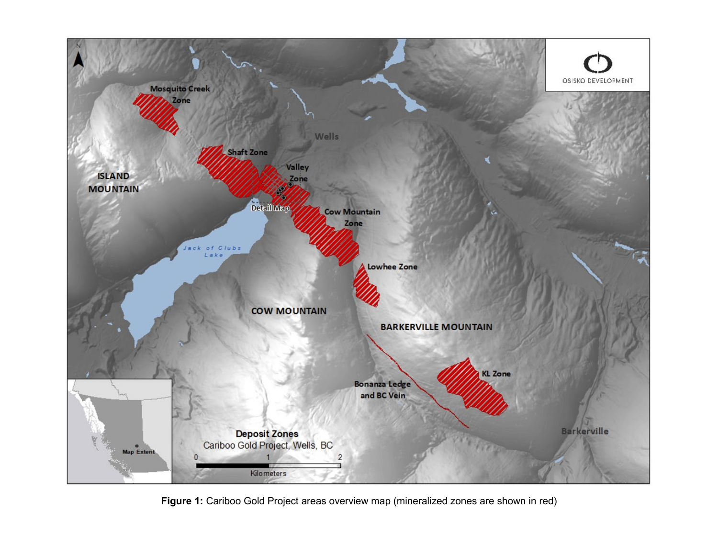

**Figure 1:** Cariboo Gold Project areas overview map (mineralized zones are shown in red)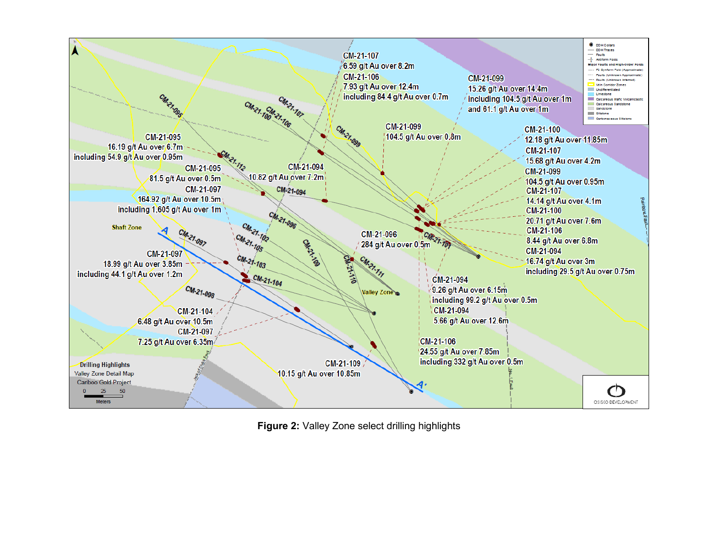

**Figure 2:** Valley Zone select drilling highlights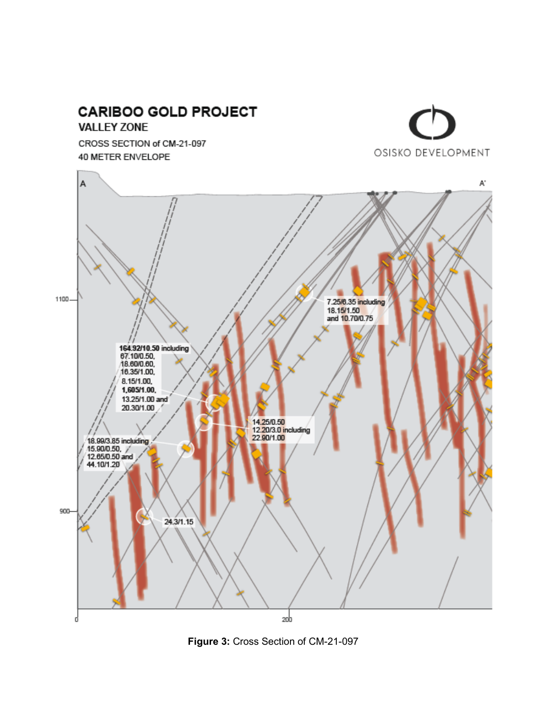

**Figure 3:** Cross Section of CM-21-097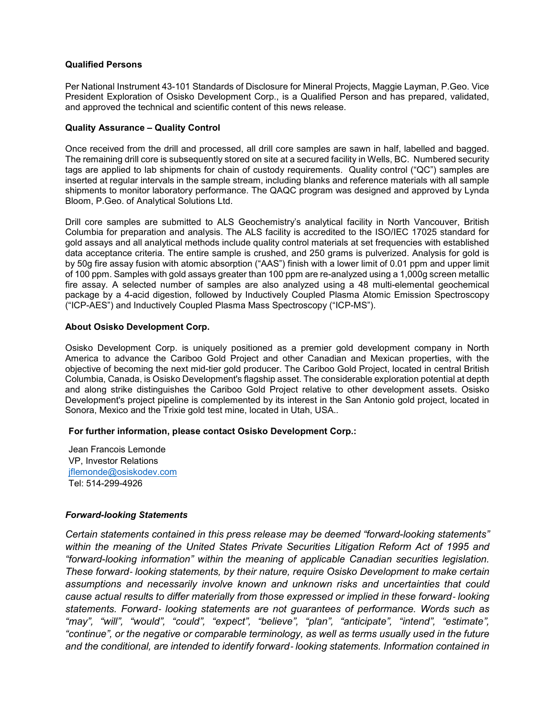#### **Qualified Persons**

Per National Instrument 43-101 Standards of Disclosure for Mineral Projects, Maggie Layman, P.Geo. Vice President Exploration of Osisko Development Corp., is a Qualified Person and has prepared, validated, and approved the technical and scientific content of this news release.

#### **Quality Assurance – Quality Control**

Once received from the drill and processed, all drill core samples are sawn in half, labelled and bagged. The remaining drill core is subsequently stored on site at a secured facility in Wells, BC. Numbered security tags are applied to lab shipments for chain of custody requirements. Quality control ("QC") samples are inserted at regular intervals in the sample stream, including blanks and reference materials with all sample shipments to monitor laboratory performance. The QAQC program was designed and approved by Lynda Bloom, P.Geo. of Analytical Solutions Ltd.

Drill core samples are submitted to ALS Geochemistry's analytical facility in North Vancouver, British Columbia for preparation and analysis. The ALS facility is accredited to the ISO/IEC 17025 standard for gold assays and all analytical methods include quality control materials at set frequencies with established data acceptance criteria. The entire sample is crushed, and 250 grams is pulverized. Analysis for gold is by 50g fire assay fusion with atomic absorption ("AAS") finish with a lower limit of 0.01 ppm and upper limit of 100 ppm. Samples with gold assays greater than 100 ppm are re-analyzed using a 1,000g screen metallic fire assay. A selected number of samples are also analyzed using a 48 multi-elemental geochemical package by a 4-acid digestion, followed by Inductively Coupled Plasma Atomic Emission Spectroscopy ("ICP-AES") and Inductively Coupled Plasma Mass Spectroscopy ("ICP-MS").

#### **About Osisko Development Corp.**

Osisko Development Corp. is uniquely positioned as a premier gold development company in North America to advance the Cariboo Gold Project and other Canadian and Mexican properties, with the objective of becoming the next mid-tier gold producer. The Cariboo Gold Project, located in central British Columbia, Canada, is Osisko Development's flagship asset. The considerable exploration potential at depth and along strike distinguishes the Cariboo Gold Project relative to other development assets. Osisko Development's project pipeline is complemented by its interest in the San Antonio gold project, located in Sonora, Mexico and the Trixie gold test mine, located in Utah, USA.*.* 

#### **For further information, please contact Osisko Development Corp.:**

Jean Francois Lemonde VP, Investor Relations iflemonde@osiskodev.com Tel: 514-299-4926

#### *Forward-looking Statements*

*Certain statements contained in this press release may be deemed "forward-looking statements" within the meaning of the United States Private Securities Litigation Reform Act of 1995 and "forward-looking information" within the meaning of applicable Canadian securities legislation. These forward*‐ *looking statements, by their nature, require Osisko Development to make certain assumptions and necessarily involve known and unknown risks and uncertainties that could cause actual results to differ materially from those expressed or implied in these forward*‐ *looking statements. Forward*‐ *looking statements are not guarantees of performance. Words such as "may", "will", "would", "could", "expect", "believe", "plan", "anticipate", "intend", "estimate", "continue", or the negative or comparable terminology, as well as terms usually used in the future and the conditional, are intended to identify forward*‐ *looking statements. Information contained in*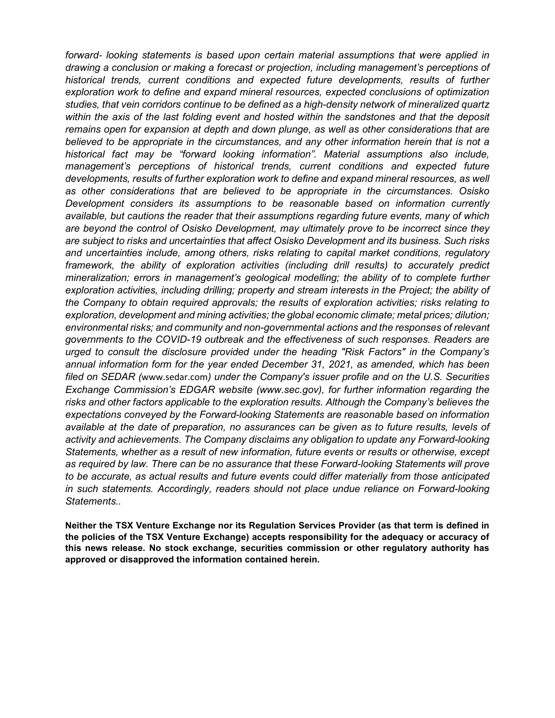*forward*‐ *looking statements is based upon certain material assumptions that were applied in drawing a conclusion or making a forecast or projection, including management's perceptions of historical trends, current conditions and expected future developments, results of further exploration work to define and expand mineral resources, expected conclusions of optimization studies, that vein corridors continue to be defined as a high-density network of mineralized quartz within the axis of the last folding event and hosted within the sandstones and that the deposit remains open for expansion at depth and down plunge, as well as other considerations that are believed to be appropriate in the circumstances, and any other information herein that is not a historical fact may be "forward looking information". Material assumptions also include, management's perceptions of historical trends, current conditions and expected future developments, results of further exploration work to define and expand mineral resources, as well as other considerations that are believed to be appropriate in the circumstances. Osisko Development considers its assumptions to be reasonable based on information currently available, but cautions the reader that their assumptions regarding future events, many of which are beyond the control of Osisko Development, may ultimately prove to be incorrect since they are subject to risks and uncertainties that affect Osisko Development and its business. Such risks and uncertainties include, among others, risks relating to capital market conditions, regulatory framework, the ability of exploration activities (including drill results) to accurately predict mineralization; errors in management's geological modelling; the ability of to complete further exploration activities, including drilling; property and stream interests in the Project; the ability of the Company to obtain required approvals; the results of exploration activities; risks relating to exploration, development and mining activities; the global economic climate; metal prices; dilution; environmental risks; and community and non-governmental actions and the responses of relevant governments to the COVID-19 outbreak and the effectiveness of such responses. Readers are urged to consult the disclosure provided under the heading "Risk Factors" in the Company's annual information form for the year ended December 31, 2021, as amended, which has been filed on SEDAR (*[www.sedar.com](http://www.sedar.com/)*) under the Company's issuer profile and on the U.S. Securities Exchange Commission's EDGAR website (www.sec.gov), for further information regarding the risks and other factors applicable to the exploration results. Although the Company's believes the expectations conveyed by the Forward-looking Statements are reasonable based on information available at the date of preparation, no assurances can be given as to future results, levels of activity and achievements. The Company disclaims any obligation to update any Forward-looking Statements, whether as a result of new information, future events or results or otherwise, except as required by law. There can be no assurance that these Forward-looking Statements will prove to be accurate, as actual results and future events could differ materially from those anticipated in such statements. Accordingly, readers should not place undue reliance on Forward-looking Statements..* 

**Neither the TSX Venture Exchange nor its Regulation Services Provider (as that term is defined in the policies of the TSX Venture Exchange) accepts responsibility for the adequacy or accuracy of this news release. No stock exchange, securities commission or other regulatory authority has approved or disapproved the information contained herein.**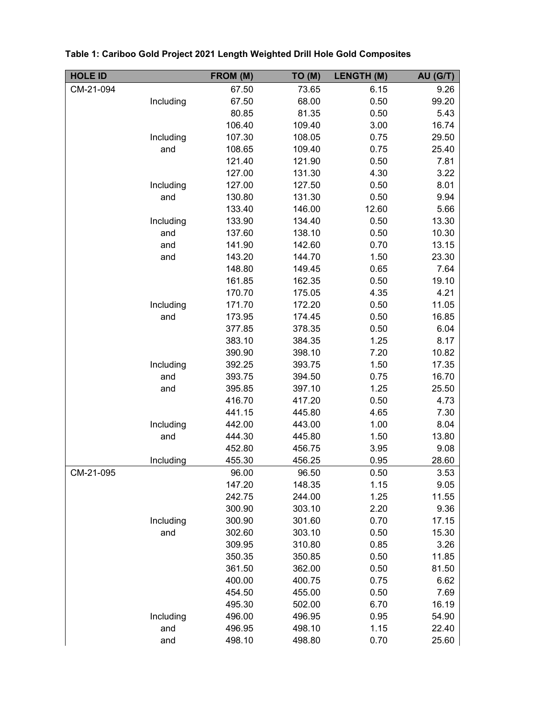| <b>HOLE ID</b> |           | FROM (M) | TO (M) | <b>LENGTH (M)</b> | AU (G/T) |
|----------------|-----------|----------|--------|-------------------|----------|
| CM-21-094      |           | 67.50    | 73.65  | 6.15              | 9.26     |
|                | Including | 67.50    | 68.00  | 0.50              | 99.20    |
|                |           | 80.85    | 81.35  | 0.50              | 5.43     |
|                |           | 106.40   | 109.40 | 3.00              | 16.74    |
|                | Including | 107.30   | 108.05 | 0.75              | 29.50    |
|                | and       | 108.65   | 109.40 | 0.75              | 25.40    |
|                |           | 121.40   | 121.90 | 0.50              | 7.81     |
|                |           | 127.00   | 131.30 | 4.30              | 3.22     |
|                | Including | 127.00   | 127.50 | 0.50              | 8.01     |
|                | and       | 130.80   | 131.30 | 0.50              | 9.94     |
|                |           | 133.40   | 146.00 | 12.60             | 5.66     |
|                | Including | 133.90   | 134.40 | 0.50              | 13.30    |
|                | and       | 137.60   | 138.10 | 0.50              | 10.30    |
|                | and       | 141.90   | 142.60 | 0.70              | 13.15    |
|                | and       | 143.20   | 144.70 | 1.50              | 23.30    |
|                |           | 148.80   | 149.45 | 0.65              | 7.64     |
|                |           | 161.85   | 162.35 | 0.50              | 19.10    |
|                |           | 170.70   | 175.05 | 4.35              | 4.21     |
|                | Including | 171.70   | 172.20 | 0.50              | 11.05    |
|                | and       | 173.95   | 174.45 | 0.50              | 16.85    |
|                |           | 377.85   | 378.35 | 0.50              | 6.04     |
|                |           | 383.10   | 384.35 | 1.25              | 8.17     |
|                |           | 390.90   | 398.10 | 7.20              | 10.82    |
|                | Including | 392.25   | 393.75 | 1.50              | 17.35    |
|                | and       | 393.75   | 394.50 | 0.75              | 16.70    |
|                | and       | 395.85   | 397.10 | 1.25              | 25.50    |
|                |           | 416.70   | 417.20 | 0.50              | 4.73     |
|                |           | 441.15   | 445.80 | 4.65              | 7.30     |
|                | Including | 442.00   | 443.00 | 1.00              | 8.04     |
|                | and       | 444.30   | 445.80 | 1.50              | 13.80    |
|                |           | 452.80   | 456.75 | 3.95              | 9.08     |
|                | Including | 455.30   | 456.25 | 0.95              | 28.60    |
| CM-21-095      |           | 96.00    | 96.50  | 0.50              | 3.53     |
|                |           | 147.20   | 148.35 | 1.15              | 9.05     |
|                |           | 242.75   | 244.00 | 1.25              | 11.55    |
|                |           | 300.90   | 303.10 | 2.20              | 9.36     |
|                | Including | 300.90   | 301.60 | 0.70              | 17.15    |
|                | and       | 302.60   | 303.10 | 0.50              | 15.30    |
|                |           | 309.95   | 310.80 | 0.85              | 3.26     |
|                |           | 350.35   | 350.85 | 0.50              | 11.85    |
|                |           | 361.50   | 362.00 | 0.50              | 81.50    |
|                |           | 400.00   | 400.75 | 0.75              | 6.62     |
|                |           | 454.50   | 455.00 | 0.50              | 7.69     |
|                |           | 495.30   | 502.00 | 6.70              | 16.19    |
|                | Including | 496.00   | 496.95 | 0.95              | 54.90    |
|                | and       | 496.95   | 498.10 | 1.15              | 22.40    |
|                | and       | 498.10   | 498.80 | 0.70              | 25.60    |

|  |  |  |  | Table 1: Cariboo Gold Project 2021 Length Weighted Drill Hole Gold Composites |  |  |
|--|--|--|--|-------------------------------------------------------------------------------|--|--|
|--|--|--|--|-------------------------------------------------------------------------------|--|--|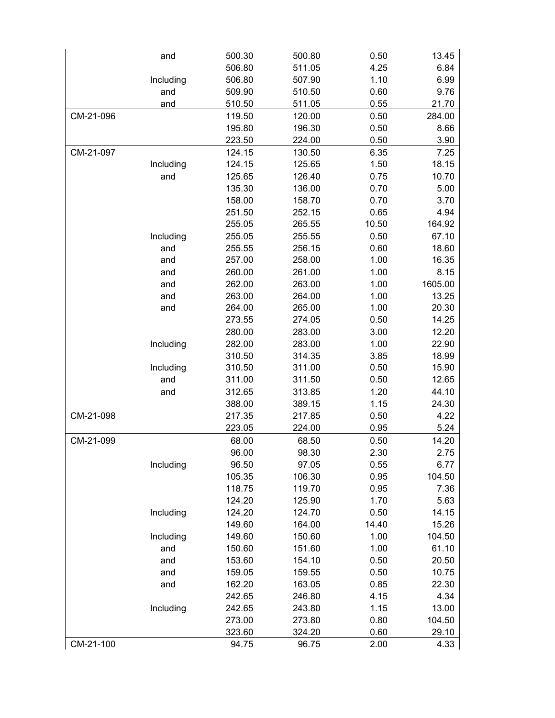|           | and       | 500.30 | 500.80 | 0.50  | 13.45   |
|-----------|-----------|--------|--------|-------|---------|
|           |           | 506.80 | 511.05 | 4.25  | 6.84    |
|           | Including | 506.80 | 507.90 | 1.10  | 6.99    |
|           | and       | 509.90 | 510.50 | 0.60  | 9.76    |
|           | and       | 510.50 | 511.05 | 0.55  | 21.70   |
| CM-21-096 |           | 119.50 | 120.00 | 0.50  | 284.00  |
|           |           | 195.80 | 196.30 | 0.50  | 8.66    |
|           |           | 223.50 | 224.00 | 0.50  | 3.90    |
| CM-21-097 |           | 124.15 | 130.50 | 6.35  | 7.25    |
|           | Including | 124.15 | 125.65 | 1.50  | 18.15   |
|           | and       | 125.65 | 126.40 | 0.75  | 10.70   |
|           |           | 135.30 | 136.00 | 0.70  | 5.00    |
|           |           | 158.00 | 158.70 | 0.70  | 3.70    |
|           |           | 251.50 | 252.15 | 0.65  | 4.94    |
|           |           | 255.05 | 265.55 | 10.50 | 164.92  |
|           | Including | 255.05 | 255.55 | 0.50  | 67.10   |
|           | and       | 255.55 | 256.15 | 0.60  | 18.60   |
|           | and       | 257.00 | 258.00 | 1.00  | 16.35   |
|           | and       | 260.00 | 261.00 | 1.00  | 8.15    |
|           | and       | 262.00 | 263.00 | 1.00  | 1605.00 |
|           | and       | 263.00 | 264.00 | 1.00  | 13.25   |
|           | and       | 264.00 | 265.00 | 1.00  | 20.30   |
|           |           | 273.55 | 274.05 | 0.50  | 14.25   |
|           |           | 280.00 | 283.00 | 3.00  | 12.20   |
|           | Including | 282.00 | 283.00 | 1.00  | 22.90   |
|           |           | 310.50 | 314.35 | 3.85  | 18.99   |
|           | Including | 310.50 | 311.00 | 0.50  | 15.90   |
|           | and       | 311.00 | 311.50 | 0.50  | 12.65   |
|           | and       | 312.65 | 313.85 | 1.20  | 44.10   |
|           |           | 388.00 | 389.15 | 1.15  | 24.30   |
| CM-21-098 |           | 217.35 | 217.85 | 0.50  | 4.22    |
|           |           | 223.05 | 224.00 | 0.95  | 5.24    |
| CM-21-099 |           | 68.00  | 68.50  | 0.50  | 14.20   |
|           |           | 96.00  | 98.30  | 2.30  | 2.75    |
|           | Including | 96.50  | 97.05  | 0.55  | 6.77    |
|           |           | 105.35 | 106.30 | 0.95  | 104.50  |
|           |           | 118.75 | 119.70 | 0.95  | 7.36    |
|           |           | 124.20 | 125.90 | 1.70  | 5.63    |
|           | Including | 124.20 | 124.70 | 0.50  | 14.15   |
|           |           | 149.60 | 164.00 | 14.40 | 15.26   |
|           | Including | 149.60 | 150.60 | 1.00  | 104.50  |
|           | and       | 150.60 | 151.60 | 1.00  | 61.10   |
|           | and       | 153.60 | 154.10 | 0.50  | 20.50   |
|           | and       | 159.05 | 159.55 | 0.50  | 10.75   |
|           | and       | 162.20 | 163.05 | 0.85  | 22.30   |
|           |           | 242.65 | 246.80 | 4.15  | 4.34    |
|           | Including | 242.65 | 243.80 | 1.15  | 13.00   |
|           |           | 273.00 | 273.80 | 0.80  | 104.50  |
|           |           | 323.60 | 324.20 | 0.60  | 29.10   |
| CM-21-100 |           | 94.75  | 96.75  | 2.00  | 4.33    |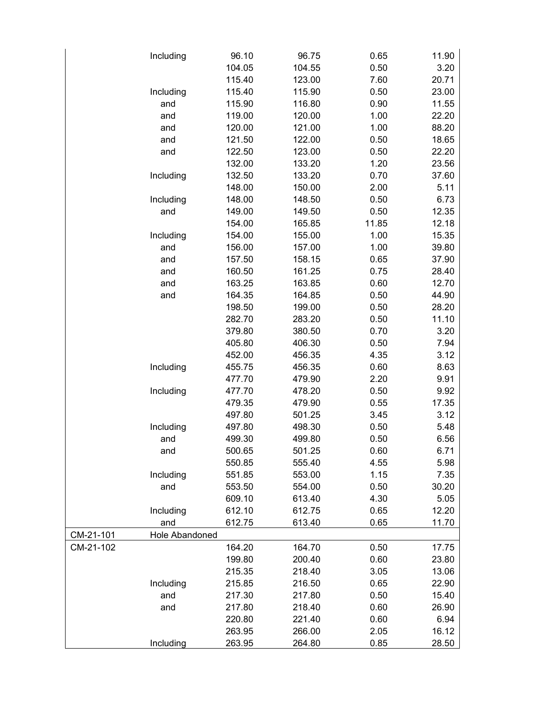|           | Including      | 96.10  | 96.75  | 0.65  | 11.90 |
|-----------|----------------|--------|--------|-------|-------|
|           |                | 104.05 | 104.55 | 0.50  | 3.20  |
|           |                | 115.40 | 123.00 | 7.60  | 20.71 |
|           | Including      | 115.40 | 115.90 | 0.50  | 23.00 |
|           | and            | 115.90 | 116.80 | 0.90  | 11.55 |
|           | and            | 119.00 | 120.00 | 1.00  | 22.20 |
|           | and            | 120.00 | 121.00 | 1.00  | 88.20 |
|           | and            | 121.50 | 122.00 | 0.50  | 18.65 |
|           | and            | 122.50 | 123.00 | 0.50  | 22.20 |
|           |                | 132.00 | 133.20 | 1.20  | 23.56 |
|           | Including      | 132.50 | 133.20 | 0.70  | 37.60 |
|           |                | 148.00 | 150.00 | 2.00  | 5.11  |
|           | Including      | 148.00 | 148.50 | 0.50  | 6.73  |
|           | and            | 149.00 | 149.50 | 0.50  | 12.35 |
|           |                | 154.00 | 165.85 | 11.85 | 12.18 |
|           | Including      | 154.00 | 155.00 | 1.00  | 15.35 |
|           | and            | 156.00 | 157.00 | 1.00  | 39.80 |
|           | and            | 157.50 | 158.15 | 0.65  | 37.90 |
|           | and            | 160.50 | 161.25 | 0.75  | 28.40 |
|           | and            | 163.25 | 163.85 | 0.60  | 12.70 |
|           | and            | 164.35 | 164.85 | 0.50  | 44.90 |
|           |                | 198.50 | 199.00 | 0.50  | 28.20 |
|           |                | 282.70 | 283.20 | 0.50  | 11.10 |
|           |                | 379.80 | 380.50 | 0.70  | 3.20  |
|           |                | 405.80 | 406.30 | 0.50  | 7.94  |
|           |                | 452.00 | 456.35 | 4.35  | 3.12  |
|           | Including      | 455.75 | 456.35 | 0.60  | 8.63  |
|           |                | 477.70 | 479.90 | 2.20  | 9.91  |
|           | Including      | 477.70 | 478.20 | 0.50  | 9.92  |
|           |                | 479.35 | 479.90 | 0.55  | 17.35 |
|           |                | 497.80 | 501.25 | 3.45  | 3.12  |
|           | Including      | 497.80 | 498.30 | 0.50  | 5.48  |
|           | and            | 499.30 | 499.80 | 0.50  | 6.56  |
|           | and            | 500.65 | 501.25 | 0.60  | 6.71  |
|           |                | 550.85 | 555.40 | 4.55  | 5.98  |
|           | Including      | 551.85 | 553.00 | 1.15  | 7.35  |
|           | and            | 553.50 | 554.00 | 0.50  | 30.20 |
|           |                | 609.10 | 613.40 | 4.30  | 5.05  |
|           | Including      | 612.10 | 612.75 | 0.65  | 12.20 |
|           | and            | 612.75 | 613.40 | 0.65  | 11.70 |
| CM-21-101 | Hole Abandoned |        |        |       |       |
| CM-21-102 |                | 164.20 | 164.70 | 0.50  | 17.75 |
|           |                | 199.80 | 200.40 | 0.60  | 23.80 |
|           |                | 215.35 | 218.40 | 3.05  | 13.06 |
|           | Including      | 215.85 | 216.50 | 0.65  | 22.90 |
|           | and            | 217.30 | 217.80 | 0.50  | 15.40 |
|           | and            | 217.80 | 218.40 | 0.60  | 26.90 |
|           |                | 220.80 | 221.40 | 0.60  | 6.94  |
|           |                | 263.95 | 266.00 | 2.05  | 16.12 |
|           | Including      | 263.95 | 264.80 | 0.85  | 28.50 |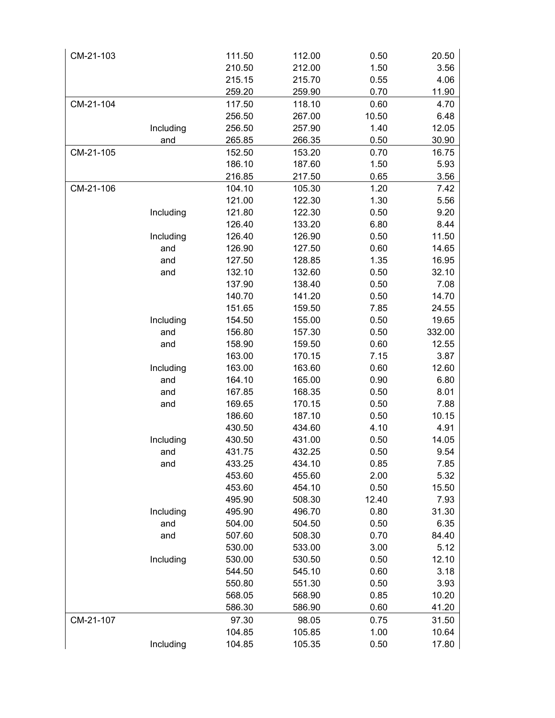| CM-21-103 |           | 111.50 | 112.00 | 0.50  | 20.50  |
|-----------|-----------|--------|--------|-------|--------|
|           |           | 210.50 | 212.00 | 1.50  | 3.56   |
|           |           | 215.15 | 215.70 | 0.55  | 4.06   |
|           |           | 259.20 | 259.90 | 0.70  | 11.90  |
| CM-21-104 |           | 117.50 | 118.10 | 0.60  | 4.70   |
|           |           | 256.50 | 267.00 | 10.50 | 6.48   |
|           | Including | 256.50 | 257.90 | 1.40  | 12.05  |
|           | and       | 265.85 | 266.35 | 0.50  | 30.90  |
| CM-21-105 |           | 152.50 | 153.20 | 0.70  | 16.75  |
|           |           | 186.10 | 187.60 | 1.50  | 5.93   |
|           |           | 216.85 | 217.50 | 0.65  | 3.56   |
| CM-21-106 |           | 104.10 | 105.30 | 1.20  | 7.42   |
|           |           | 121.00 | 122.30 | 1.30  | 5.56   |
|           | Including | 121.80 | 122.30 | 0.50  | 9.20   |
|           |           | 126.40 | 133.20 | 6.80  | 8.44   |
|           | Including | 126.40 | 126.90 | 0.50  | 11.50  |
|           | and       | 126.90 | 127.50 | 0.60  | 14.65  |
|           | and       | 127.50 | 128.85 | 1.35  | 16.95  |
|           | and       | 132.10 | 132.60 | 0.50  | 32.10  |
|           |           | 137.90 | 138.40 | 0.50  | 7.08   |
|           |           | 140.70 | 141.20 | 0.50  | 14.70  |
|           |           | 151.65 | 159.50 | 7.85  | 24.55  |
|           | Including | 154.50 | 155.00 | 0.50  | 19.65  |
|           | and       | 156.80 | 157.30 | 0.50  | 332.00 |
|           | and       | 158.90 | 159.50 | 0.60  | 12.55  |
|           |           | 163.00 | 170.15 | 7.15  | 3.87   |
|           | Including | 163.00 | 163.60 | 0.60  | 12.60  |
|           | and       | 164.10 | 165.00 | 0.90  | 6.80   |
|           | and       | 167.85 | 168.35 | 0.50  | 8.01   |
|           | and       | 169.65 | 170.15 | 0.50  | 7.88   |
|           |           | 186.60 | 187.10 | 0.50  | 10.15  |
|           |           | 430.50 | 434.60 | 4.10  | 4.91   |
|           | Including | 430.50 | 431.00 | 0.50  | 14.05  |
|           | and       | 431.75 | 432.25 | 0.50  | 9.54   |
|           | and       | 433.25 | 434.10 | 0.85  | 7.85   |
|           |           | 453.60 | 455.60 | 2.00  | 5.32   |
|           |           | 453.60 | 454.10 | 0.50  | 15.50  |
|           |           | 495.90 | 508.30 | 12.40 | 7.93   |
|           | Including | 495.90 | 496.70 | 0.80  | 31.30  |
|           | and       | 504.00 | 504.50 | 0.50  | 6.35   |
|           | and       | 507.60 | 508.30 | 0.70  | 84.40  |
|           |           | 530.00 | 533.00 | 3.00  | 5.12   |
|           | Including | 530.00 | 530.50 | 0.50  | 12.10  |
|           |           | 544.50 | 545.10 | 0.60  | 3.18   |
|           |           | 550.80 | 551.30 | 0.50  | 3.93   |
|           |           | 568.05 | 568.90 | 0.85  | 10.20  |
|           |           | 586.30 | 586.90 | 0.60  | 41.20  |
| CM-21-107 |           | 97.30  | 98.05  | 0.75  | 31.50  |
|           |           | 104.85 | 105.85 | 1.00  | 10.64  |
|           | Including | 104.85 | 105.35 | 0.50  | 17.80  |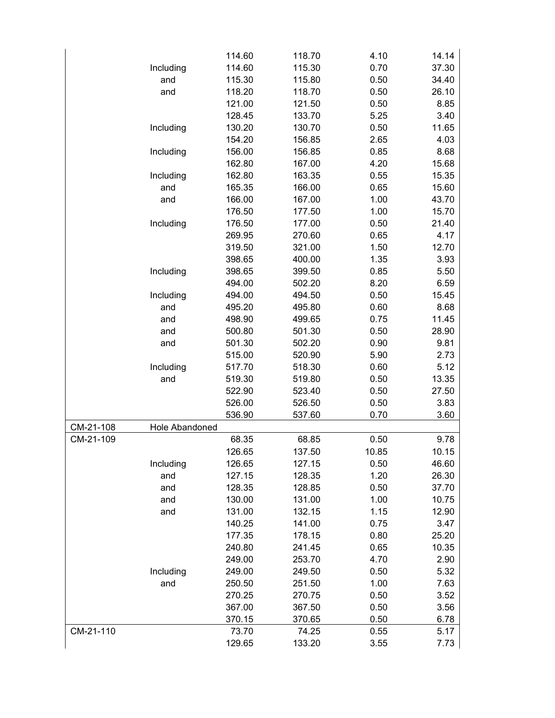|           |                | 114.60 | 118.70 | 4.10  | 14.14 |
|-----------|----------------|--------|--------|-------|-------|
|           | Including      | 114.60 | 115.30 | 0.70  | 37.30 |
|           | and            | 115.30 | 115.80 | 0.50  | 34.40 |
|           | and            | 118.20 | 118.70 | 0.50  | 26.10 |
|           |                | 121.00 | 121.50 | 0.50  | 8.85  |
|           |                | 128.45 | 133.70 | 5.25  | 3.40  |
|           | Including      | 130.20 | 130.70 | 0.50  | 11.65 |
|           |                | 154.20 | 156.85 | 2.65  | 4.03  |
|           | Including      | 156.00 | 156.85 | 0.85  | 8.68  |
|           |                | 162.80 | 167.00 | 4.20  | 15.68 |
|           | Including      | 162.80 | 163.35 | 0.55  | 15.35 |
|           | and            | 165.35 | 166.00 | 0.65  | 15.60 |
|           | and            | 166.00 | 167.00 | 1.00  | 43.70 |
|           |                | 176.50 | 177.50 | 1.00  | 15.70 |
|           | Including      | 176.50 | 177.00 | 0.50  | 21.40 |
|           |                | 269.95 | 270.60 | 0.65  | 4.17  |
|           |                | 319.50 | 321.00 | 1.50  | 12.70 |
|           |                | 398.65 | 400.00 | 1.35  | 3.93  |
|           | Including      | 398.65 | 399.50 | 0.85  | 5.50  |
|           |                | 494.00 | 502.20 | 8.20  | 6.59  |
|           | Including      | 494.00 | 494.50 | 0.50  | 15.45 |
|           | and            | 495.20 | 495.80 | 0.60  | 8.68  |
|           | and            | 498.90 | 499.65 | 0.75  | 11.45 |
|           | and            | 500.80 | 501.30 | 0.50  | 28.90 |
|           | and            | 501.30 | 502.20 | 0.90  | 9.81  |
|           |                |        |        |       |       |
|           |                | 515.00 | 520.90 | 5.90  | 2.73  |
|           | Including      | 517.70 | 518.30 | 0.60  | 5.12  |
|           | and            | 519.30 | 519.80 | 0.50  | 13.35 |
|           |                | 522.90 | 523.40 | 0.50  | 27.50 |
|           |                | 526.00 | 526.50 | 0.50  | 3.83  |
|           |                | 536.90 | 537.60 | 0.70  | 3.60  |
| CM-21-108 | Hole Abandoned |        |        |       |       |
| CM-21-109 |                | 68.35  | 68.85  | 0.50  | 9.78  |
|           |                | 126.65 | 137.50 | 10.85 | 10.15 |
|           | Including      | 126.65 | 127.15 | 0.50  | 46.60 |
|           | and            | 127.15 | 128.35 | 1.20  | 26.30 |
|           | and            | 128.35 | 128.85 | 0.50  | 37.70 |
|           | and            | 130.00 | 131.00 | 1.00  | 10.75 |
|           | and            | 131.00 | 132.15 | 1.15  | 12.90 |
|           |                | 140.25 | 141.00 | 0.75  | 3.47  |
|           |                | 177.35 | 178.15 | 0.80  | 25.20 |
|           |                | 240.80 | 241.45 | 0.65  | 10.35 |
|           |                | 249.00 | 253.70 | 4.70  | 2.90  |
|           | Including      | 249.00 | 249.50 | 0.50  | 5.32  |
|           | and            | 250.50 | 251.50 | 1.00  | 7.63  |
|           |                | 270.25 | 270.75 | 0.50  | 3.52  |
|           |                | 367.00 | 367.50 | 0.50  | 3.56  |
|           |                | 370.15 | 370.65 | 0.50  | 6.78  |
| CM-21-110 |                | 73.70  | 74.25  | 0.55  | 5.17  |
|           |                | 129.65 | 133.20 | 3.55  | 7.73  |
|           |                |        |        |       |       |